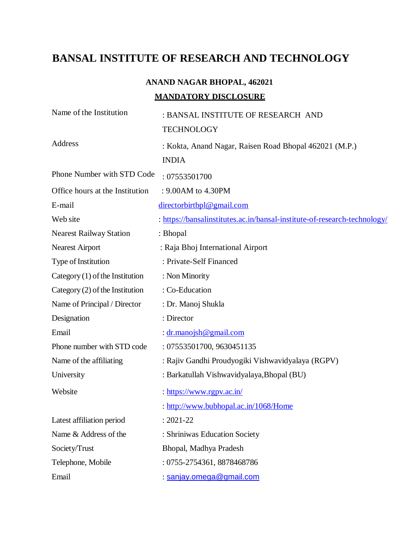# **BANSAL INSTITUTE OF RESEARCH AND TECHNOLOGY**

# **ANAND NAGAR BHOPAL, 462021 MANDATORY DISCLOSURE**

| Name of the Institution           | : BANSAL INSTITUTE OF RESEARCH AND<br><b>TECHNOLOGY</b>                   |
|-----------------------------------|---------------------------------------------------------------------------|
| Address                           | : Kokta, Anand Nagar, Raisen Road Bhopal 462021 (M.P.)<br><b>INDIA</b>    |
| Phone Number with STD Code        | : 07553501700                                                             |
| Office hours at the Institution   | : 9.00AM to 4.30PM                                                        |
| E-mail                            | directorbirtbpl@gmail.com                                                 |
| Web site                          | : https://bansalinstitutes.ac.in/bansal-institute-of-research-technology/ |
| <b>Nearest Railway Station</b>    | : Bhopal                                                                  |
| <b>Nearest Airport</b>            | : Raja Bhoj International Airport                                         |
| Type of Institution               | : Private-Self Financed                                                   |
| Category $(1)$ of the Institution | : Non Minority                                                            |
| Category $(2)$ of the Institution | : Co-Education                                                            |
| Name of Principal / Director      | : Dr. Manoj Shukla                                                        |
| Designation                       | : Director                                                                |
| Email                             | : dr.manojsh@gmail.com                                                    |
| Phone number with STD code        | : 07553501700, 9630451135                                                 |
| Name of the affiliating           | : Rajiv Gandhi Proudyogiki Vishwavidyalaya (RGPV)                         |
| University                        | : Barkatullah Vishwavidyalaya, Bhopal (BU)                                |
| Website                           | : https://www.rgpv.ac.in/                                                 |
|                                   | : http://www.bubhopal.ac.in/1068/Home                                     |
| Latest affiliation period         | $: 2021 - 22$                                                             |
| Name & Address of the             | : Shriniwas Education Society                                             |
| Society/Trust                     | Bhopal, Madhya Pradesh                                                    |
| Telephone, Mobile                 | : 0755-2754361, 8878468786                                                |
| Email                             | : sanjay.omega@gmail.com                                                  |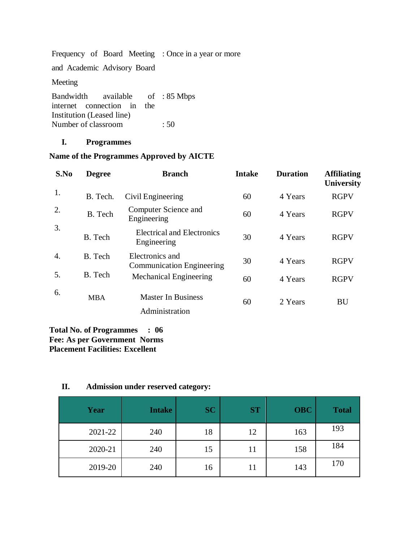Frequency of Board Meeting : Once in a year or more and Academic Advisory Board Meeting Bandwidth available internet connection in the Institution (Leased line) of : 85 Mbps Number of classroom : 50

#### **I. Programmes**

# **Name of the Programmes Approved by AICTE**

| S.No | <b>Degree</b> | <b>Branch</b>                                       | <b>Intake</b> | <b>Duration</b> | <b>Affiliating</b><br><b>University</b> |
|------|---------------|-----------------------------------------------------|---------------|-----------------|-----------------------------------------|
| 1.   | B. Tech.      | Civil Engineering                                   | 60            | 4 Years         | <b>RGPV</b>                             |
| 2.   | B. Tech       | Computer Science and<br>Engineering                 | 60            | 4 Years         | <b>RGPV</b>                             |
| 3.   | B. Tech       | <b>Electrical and Electronics</b><br>Engineering    | 30            | 4 Years         | <b>RGPV</b>                             |
| 4.   | B. Tech       | Electronics and<br><b>Communication Engineering</b> | 30            | 4 Years         | <b>RGPV</b>                             |
| 5.   | B. Tech       | Mechanical Engineering                              | 60            | 4 Years         | <b>RGPV</b>                             |
| 6.   | <b>MBA</b>    | <b>Master In Business</b><br>Administration         | 60            | 2 Years         | BU                                      |

### **Total No. of Programmes : 06 Fee: As per Government Norms Placement Facilities: Excellent**

# **II. Admission under reserved category:**

| Year    | <b>Intake</b> | <b>SC</b> | <b>ST</b> | <b>OBC</b> | <b>Total</b> |
|---------|---------------|-----------|-----------|------------|--------------|
| 2021-22 | 240           | 18        | 12        | 163        | 193          |
| 2020-21 | 240           | 15        | 11        | 158        | 184          |
| 2019-20 | 240           | 16        | 11        | 143        | 170          |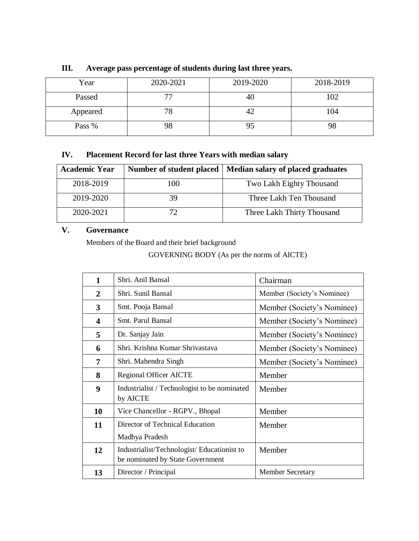| Year     | 2020-2021 | 2019-2020 | 2018-2019 |
|----------|-----------|-----------|-----------|
| Passed   | 77        | 40        | 102       |
| Appeared | 78        | 42        | 104       |
| Pass %   | 98        | 95        |           |

# **III. Average pass percentage of students during last three years.**

# **IV. Placement Record for last three Years with median salary**

| <b>Academic Year</b> | Number of student placed | Median salary of placed graduates |
|----------------------|--------------------------|-----------------------------------|
| 2018-2019            | 100                      | Two Lakh Eighty Thousand          |
| 2019-2020            | 39                       | Three Lakh Ten Thousand           |
| 2020-2021            | 72.                      | Three Lakh Thirty Thousand        |

## **V. Governance**

Members of the Board and their brief background

GOVERNING BODY (As per the norms of AICTE)

| $\mathbf{1}$ | Shri. Anil Bansal                                                              | Chairman                   |
|--------------|--------------------------------------------------------------------------------|----------------------------|
| 2            | Shri. Sunil Bansal                                                             | Member (Society's Nominee) |
| 3            | Smt. Pooja Bansal                                                              | Member (Society's Nominee) |
| 4            | Smt. Parul Bansal                                                              | Member (Society's Nominee) |
| 5            | Dr. Sanjay Jain                                                                | Member (Society's Nominee) |
| 6            | Shri. Krishna Kumar Shrivastava                                                | Member (Society's Nominee) |
| 7            | Shri. Mahendra Singh                                                           | Member (Society's Nominee) |
| 8            | <b>Regional Officer AICTE</b>                                                  | Member                     |
| 9            | Industrialist / Technologist to be nominated<br>by AICTE                       | Member                     |
| 10           | Vice Chancellor - RGPV., Bhopal                                                | Member                     |
| 11           | Director of Technical Education                                                | Member                     |
|              | Madhya Pradesh                                                                 |                            |
| 12           | Industrialist/Technologist/Educationist to<br>be nominated by State Government | Member                     |
| 13           | Director / Principal                                                           | <b>Member Secretary</b>    |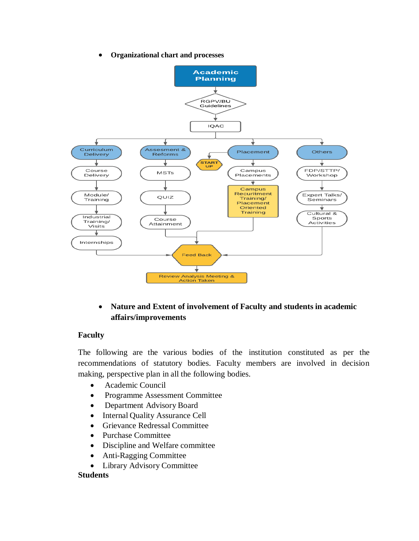**Organizational chart and processes**



 **Nature and Extent of involvement of Faculty and students in academic affairs/improvements**

# **Faculty**

The following are the various bodies of the institution constituted as per the recommendations of statutory bodies. Faculty members are involved in decision making, perspective plan in all the following bodies.

- Academic Council
- Programme Assessment Committee
- Department Advisory Board
- Internal Quality Assurance Cell
- Grievance Redressal Committee
- Purchase Committee
- Discipline and Welfare committee
- Anti-Ragging Committee
- Library Advisory Committee

### **Students**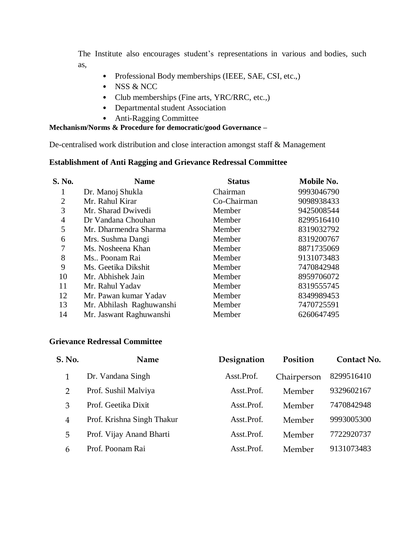The Institute also encourages student's representations in various and bodies, such as,

- Professional Body memberships (IEEE, SAE, CSI, etc.,)
- NSS & NCC
- Club memberships (Fine arts, YRC/RRC, etc.,)
- Departmental student Association
- Anti-Ragging Committee

### **Mechanism/Norms & Procedure for democratic/good Governance –**

De-centralised work distribution and close interaction amongst staff & Management

# **Establishment of Anti Ragging and Grievance Redressal Committee**

| S. No.         | <b>Name</b>              | <b>Status</b> | Mobile No. |
|----------------|--------------------------|---------------|------------|
|                | Dr. Manoj Shukla         | Chairman      | 9993046790 |
| $\overline{2}$ | Mr. Rahul Kirar          | Co-Chairman   | 9098938433 |
| 3              | Mr. Sharad Dwivedi       | Member        | 9425008544 |
| $\overline{4}$ | Dr Vandana Chouhan       | Member        | 8299516410 |
| 5              | Mr. Dharmendra Sharma    | Member        | 8319032792 |
| 6              | Mrs. Sushma Dangi        | Member        | 8319200767 |
| 7              | Ms. Nosheena Khan        | Member        | 8871735069 |
| 8              | Ms Poonam Rai            | Member        | 9131073483 |
| 9              | Ms. Geetika Dikshit      | Member        | 7470842948 |
| 10             | Mr. Abhishek Jain        | Member        | 8959706072 |
| 11             | Mr. Rahul Yadav          | Member        | 8319555745 |
| 12             | Mr. Pawan kumar Yadav    | Member        | 8349989453 |
| 13             | Mr. Abhilash Raghuwanshi | Member        | 7470725591 |
| 14             | Mr. Jaswant Raghuwanshi  | Member        | 6260647495 |

### **Grievance Redressal Committee**

| <b>S. No.</b>  | <b>Name</b>                | Designation | Position    | Contact No. |
|----------------|----------------------------|-------------|-------------|-------------|
|                | Dr. Vandana Singh          | Asst.Prof.  | Chairperson | 8299516410  |
| $\overline{2}$ | Prof. Sushil Malviya       | Asst.Prof.  | Member      | 9329602167  |
| 3              | Prof. Geetika Dixit        | Asst.Prof.  | Member      | 7470842948  |
| $\overline{4}$ | Prof. Krishna Singh Thakur | Asst.Prof.  | Member      | 9993005300  |
| 5              | Prof. Vijay Anand Bharti   | Asst.Prof.  | Member      | 7722920737  |
| 6              | Prof. Poonam Rai           | Asst.Prof.  | Member      | 9131073483  |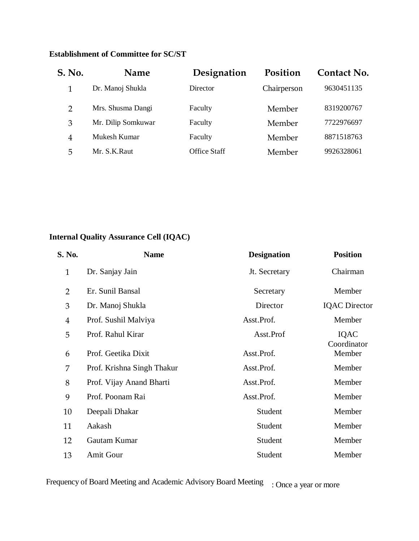# **Establishment of Committee for SC/ST**

| S. No.         | Name               | Designation         | Position    | Contact No. |
|----------------|--------------------|---------------------|-------------|-------------|
|                | Dr. Manoj Shukla   | Director            | Chairperson | 9630451135  |
| $\mathcal{P}$  | Mrs. Shusma Dangi  | Faculty             | Member      | 8319200767  |
| 3              | Mr. Dilip Somkuwar | Faculty             | Member      | 7722976697  |
| $\overline{4}$ | Mukesh Kumar       | Faculty             | Member      | 8871518763  |
| 5              | Mr. S.K.Raut       | <b>Office Staff</b> | Member      | 9926328061  |

# **Internal Quality Assurance Cell (IQAC)**

| S. No.         | <b>Name</b>                | <b>Designation</b> | <b>Position</b>      |
|----------------|----------------------------|--------------------|----------------------|
| $\mathbf{1}$   | Dr. Sanjay Jain            | Jt. Secretary      | Chairman             |
| $\overline{2}$ | Er. Sunil Bansal           | Secretary          | Member               |
| 3              | Dr. Manoj Shukla           | Director           | <b>IQAC</b> Director |
| $\overline{4}$ | Prof. Sushil Malviya       | Asst.Prof.         | Member               |
| 5              | Prof. Rahul Kirar          | Asst.Prof          | IQAC<br>Coordinator  |
| 6              | Prof. Geetika Dixit        | Asst.Prof.         | Member               |
| 7              | Prof. Krishna Singh Thakur | Asst.Prof.         | Member               |
| 8              | Prof. Vijay Anand Bharti   | Asst.Prof.         | Member               |
| 9              | Prof. Poonam Rai           | Asst.Prof.         | Member               |
| 10             | Deepali Dhakar             | Student            | Member               |
| 11             | Aakash                     | Student            | Member               |
| 12             | Gautam Kumar               | Student            | Member               |
| 13             | Amit Gour                  | Student            | Member               |

Frequency of Board Meeting and Academic Advisory Board Meeting : Once a year or more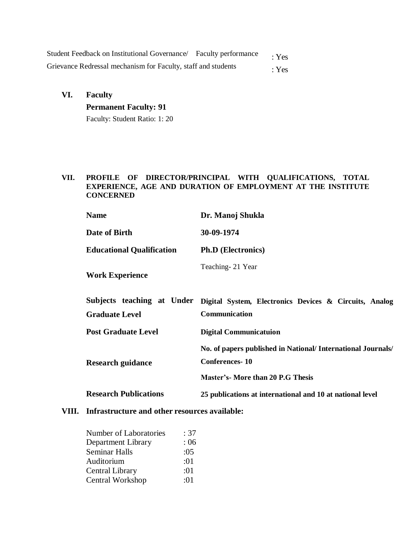| Student Feedback on Institutional Governance/ Faculty performance | : Yes |
|-------------------------------------------------------------------|-------|
| Grievance Redressal mechanism for Faculty, staff and students     | : Yes |

## **VI. Faculty**

# **Permanent Faculty: 91**

Faculty: Student Ratio: 1: 20

#### **VII. PROFILE OF DIRECTOR/PRINCIPAL WITH QUALIFICATIONS, TOTAL EXPERIENCE, AGE AND DURATION OF EMPLOYMENT AT THE INSTITUTE CONCERNED**

| <b>Name</b>                                                                                                                                                   | Dr. Manoj Shukla                                                        |  |
|---------------------------------------------------------------------------------------------------------------------------------------------------------------|-------------------------------------------------------------------------|--|
| Date of Birth                                                                                                                                                 | 30-09-1974                                                              |  |
| <b>Educational Qualification</b>                                                                                                                              | <b>Ph.D</b> (Electronics)                                               |  |
| <b>Work Experience</b>                                                                                                                                        | Teaching-21 Year                                                        |  |
| Subjects teaching at Under<br><b>Graduate Level</b>                                                                                                           | Digital System, Electronics Devices & Circuits, Analog<br>Communication |  |
| <b>Post Graduate Level</b>                                                                                                                                    | <b>Digital Communicatuion</b>                                           |  |
| No. of papers published in National/ International Journals/<br><b>Conferences-10</b><br><b>Research guidance</b><br><b>Master's- More than 20 P.G Thesis</b> |                                                                         |  |
| <b>Research Publications</b>                                                                                                                                  | 25 publications at international and 10 at national level               |  |

### **VIII. Infrastructure and other resources available:**

| <b>Number of Laboratories</b> | : 37 |
|-------------------------------|------|
| Department Library            | :06  |
| <b>Seminar Halls</b>          | :05  |
| Auditorium                    | :01  |
| <b>Central Library</b>        | :01  |
| Central Workshop              | :01  |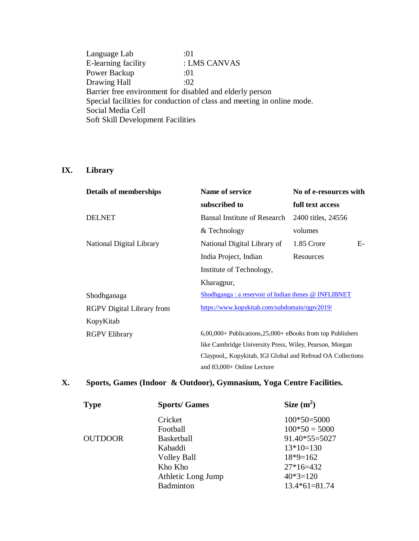Language Lab :01 E-learning facility : LMS CANVAS Power Backup :01 Drawing Hall  $:02$ Barrier free environment for disabled and elderly person Special facilities for conduction of class and meeting in online mode. Social Media Cell Soft Skill Development Facilities

# **IX. Library**

| <b>Details of memberships</b>    | Name of service<br>No of e-resources with                      |                    |
|----------------------------------|----------------------------------------------------------------|--------------------|
|                                  | subscribed to                                                  | full text access   |
| <b>DELNET</b>                    | <b>Bansal Institute of Research</b>                            | 2400 titles, 24556 |
|                                  | & Technology                                                   | volumes            |
| National Digital Library         | National Digital Library of                                    | $E-$<br>1.85 Crore |
|                                  | India Project, Indian                                          | Resources          |
|                                  | Institute of Technology,                                       |                    |
|                                  | Kharagpur,                                                     |                    |
| Shodhganaga                      | Shodhganga : a reservoir of Indian theses @ INFLIBNET          |                    |
| <b>RGPV</b> Digital Library from | https://www.kopykitab.com/subdomain/rgpv2019/                  |                    |
| KopyKitab                        |                                                                |                    |
| <b>RGPV Elibrary</b>             | $6,00,000+$ Publications, $25,000+$ eBooks from top Publishers |                    |
|                                  | like Cambridge University Press, Wiley, Pearson, Morgan        |                    |
|                                  | Claypool,, Kopykitab, IGI Global and Refread OA Collections    |                    |
|                                  | and $83,000+$ Online Lecture                                   |                    |

# **X. Sports, Games (Indoor & Outdoor), Gymnasium, Yoga Centre Facilities.**

| <b>Type</b>    | <b>Sports/Games</b> | Size $(m^2)$    |
|----------------|---------------------|-----------------|
|                | Cricket             | $100*50=5000$   |
|                | Football            | $100*50 = 5000$ |
| <b>OUTDOOR</b> | Basketball          | $91.40*55=5027$ |
|                | Kabaddi             | $13*10=130$     |
|                | <b>Volley Ball</b>  | $18*9=162$      |
|                | Kho Kho             | $27*16=432$     |
|                | Athletic Long Jump  | $40*3=120$      |
|                | Badminton           | $13.4*61=81.74$ |
|                |                     |                 |